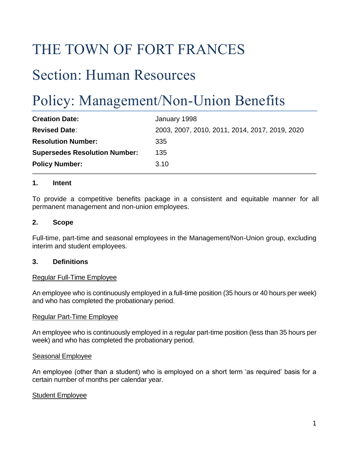# THE TOWN OF FORT FRANCES

# Section: Human Resources

# Policy: Management/Non-Union Benefits

| <b>Creation Date:</b>                | January 1998                                   |
|--------------------------------------|------------------------------------------------|
| <b>Revised Date:</b>                 | 2003, 2007, 2010, 2011, 2014, 2017, 2019, 2020 |
| <b>Resolution Number:</b>            | 335                                            |
| <b>Supersedes Resolution Number:</b> | 135                                            |
| <b>Policy Number:</b>                | 3.10                                           |

### **1. Intent**

To provide a competitive benefits package in a consistent and equitable manner for all permanent management and non-union employees.

#### **2. Scope**

Full-time, part-time and seasonal employees in the Management/Non-Union group, excluding interim and student employees.

#### **3. Definitions**

#### Regular Full-Time Employee

An employee who is continuously employed in a full-time position (35 hours or 40 hours per week) and who has completed the probationary period.

#### Regular Part-Time Employee

An employee who is continuously employed in a regular part-time position (less than 35 hours per week) and who has completed the probationary period.

#### Seasonal Employee

An employee (other than a student) who is employed on a short term 'as required' basis for a certain number of months per calendar year.

#### Student Employee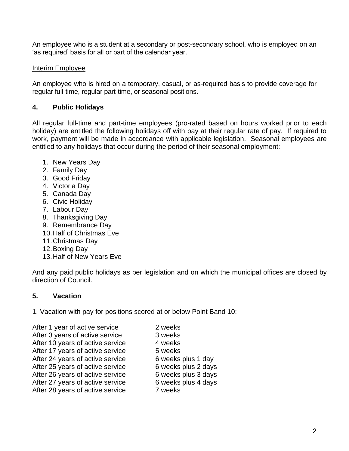An employee who is a student at a secondary or post-secondary school, who is employed on an 'as required' basis for all or part of the calendar year.

## Interim Employee

An employee who is hired on a temporary, casual, or as-required basis to provide coverage for regular full-time, regular part-time, or seasonal positions.

# **4. Public Holidays**

All regular full-time and part-time employees (pro-rated based on hours worked prior to each holiday) are entitled the following holidays off with pay at their regular rate of pay. If required to work, payment will be made in accordance with applicable legislation. Seasonal employees are entitled to any holidays that occur during the period of their seasonal employment:

- 1. New Years Day
- 2. Family Day
- 3. Good Friday
- 4. Victoria Day
- 5. Canada Day
- 6. Civic Holiday
- 7. Labour Day
- 8. Thanksgiving Day
- 9. Remembrance Day
- 10.Half of Christmas Eve
- 11.Christmas Day
- 12.Boxing Day
- 13.Half of New Years Eve

And any paid public holidays as per legislation and on which the municipal offices are closed by direction of Council.

# **5. Vacation**

1. Vacation with pay for positions scored at or below Point Band 10:

- After 1 year of active service 2 weeks After 3 years of active service 3 weeks After 10 years of active service 4 weeks After 17 years of active service 5 weeks After 24 years of active service 6 weeks plus 1 day After 25 years of active service 6 weeks plus 2 days After 26 years of active service 6 weeks plus 3 days After 27 years of active service 6 weeks plus 4 days After 28 years of active service **7** weeks
	-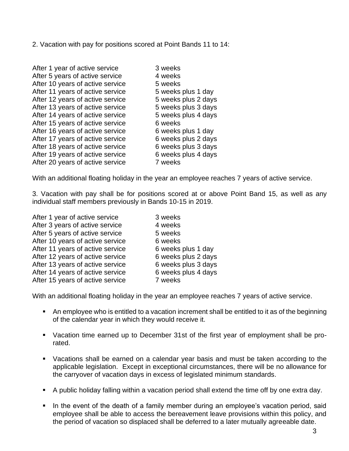2. Vacation with pay for positions scored at Point Bands 11 to 14:

| After 1 year of active service   | 3 weeks |
|----------------------------------|---------|
| After 5 years of active service  | 4 weeks |
| After 10 years of active service | 5 weeks |
| After 11 years of active service | 5 weeks |
| After 12 years of active service | 5 weeks |
| After 13 years of active service | 5 weeks |
| After 14 years of active service | 5 weeks |
| After 15 years of active service | 6 weeks |
| After 16 years of active service | 6 weeks |
| After 17 years of active service | 6 weeks |
| After 18 years of active service | 6 weeks |
| After 19 years of active service | 6 weeks |
| After 20 years of active service | 7 weeks |
|                                  |         |

With an additional floating holiday in the year an employee reaches 7 years of active service.

3. Vacation with pay shall be for positions scored at or above Point Band 15, as well as any individual staff members previously in Bands 10-15 in 2019.

plus 1 day plus 2 days plus 3 days plus 4 days

plus 1 day plus 2 days plus 3 days plus 4 days

| After 1 year of active service   | 3 weeks             |
|----------------------------------|---------------------|
| After 3 years of active service  | 4 weeks             |
| After 5 years of active service  | 5 weeks             |
| After 10 years of active service | 6 weeks             |
| After 11 years of active service | 6 weeks plus 1 day  |
| After 12 years of active service | 6 weeks plus 2 days |
| After 13 years of active service | 6 weeks plus 3 days |
| After 14 years of active service | 6 weeks plus 4 days |
| After 15 years of active service | 7 weeks             |

With an additional floating holiday in the year an employee reaches 7 years of active service.

- An employee who is entitled to a vacation increment shall be entitled to it as of the beginning of the calendar year in which they would receive it.
- Vacation time earned up to December 31st of the first year of employment shall be prorated.
- Vacations shall be earned on a calendar year basis and must be taken according to the applicable legislation. Except in exceptional circumstances, there will be no allowance for the carryover of vacation days in excess of legislated minimum standards.
- A public holiday falling within a vacation period shall extend the time off by one extra day.
- In the event of the death of a family member during an employee's vacation period, said employee shall be able to access the bereavement leave provisions within this policy, and the period of vacation so displaced shall be deferred to a later mutually agreeable date.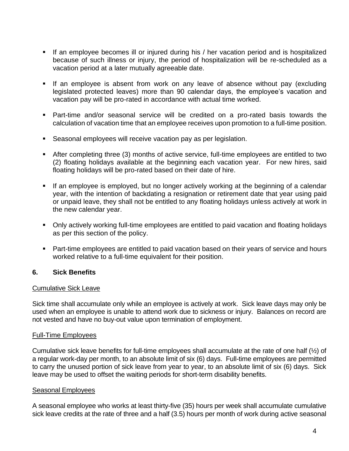- **EXT** If an employee becomes ill or injured during his / her vacation period and is hospitalized because of such illness or injury, the period of hospitalization will be re-scheduled as a vacation period at a later mutually agreeable date.
- **EXT** If an employee is absent from work on any leave of absence without pay (excluding legislated protected leaves) more than 90 calendar days, the employee's vacation and vacation pay will be pro-rated in accordance with actual time worked.
- Part-time and/or seasonal service will be credited on a pro-rated basis towards the calculation of vacation time that an employee receives upon promotion to a full-time position.
- Seasonal employees will receive vacation pay as per legislation.
- After completing three (3) months of active service, full-time employees are entitled to two (2) floating holidays available at the beginning each vacation year. For new hires, said floating holidays will be pro-rated based on their date of hire.
- **■** If an employee is employed, but no longer actively working at the beginning of a calendar year, with the intention of backdating a resignation or retirement date that year using paid or unpaid leave, they shall not be entitled to any floating holidays unless actively at work in the new calendar year.
- Only actively working full-time employees are entitled to paid vacation and floating holidays as per this section of the policy.
- Part-time employees are entitled to paid vacation based on their years of service and hours worked relative to a full-time equivalent for their position.

#### **6. Sick Benefits**

#### Cumulative Sick Leave

Sick time shall accumulate only while an employee is actively at work. Sick leave days may only be used when an employee is unable to attend work due to sickness or injury. Balances on record are not vested and have no buy-out value upon termination of employment.

#### Full-Time Employees

Cumulative sick leave benefits for full-time employees shall accumulate at the rate of one half (½) of a regular work-day per month, to an absolute limit of six (6) days. Full-time employees are permitted to carry the unused portion of sick leave from year to year, to an absolute limit of six (6) days. Sick leave may be used to offset the waiting periods for short-term disability benefits.

#### Seasonal Employees

A seasonal employee who works at least thirty-five (35) hours per week shall accumulate cumulative sick leave credits at the rate of three and a half (3.5) hours per month of work during active seasonal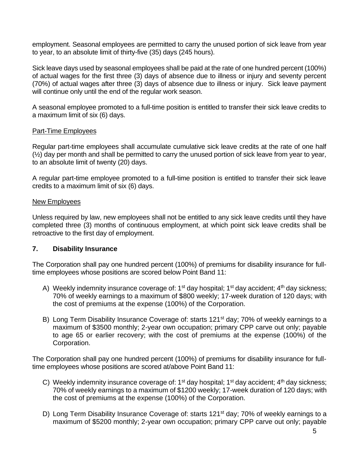employment. Seasonal employees are permitted to carry the unused portion of sick leave from year to year, to an absolute limit of thirty-five (35) days (245 hours).

Sick leave days used by seasonal employees shall be paid at the rate of one hundred percent (100%) of actual wages for the first three (3) days of absence due to illness or injury and seventy percent (70%) of actual wages after three (3) days of absence due to illness or injury. Sick leave payment will continue only until the end of the regular work season.

A seasonal employee promoted to a full-time position is entitled to transfer their sick leave credits to a maximum limit of six (6) days.

### Part-Time Employees

Regular part-time employees shall accumulate cumulative sick leave credits at the rate of one half  $(½)$  day per month and shall be permitted to carry the unused portion of sick leave from year to year, to an absolute limit of twenty (20) days.

A regular part-time employee promoted to a full-time position is entitled to transfer their sick leave credits to a maximum limit of six (6) days.

#### New Employees

Unless required by law, new employees shall not be entitled to any sick leave credits until they have completed three (3) months of continuous employment, at which point sick leave credits shall be retroactive to the first day of employment.

#### **7. Disability Insurance**

The Corporation shall pay one hundred percent (100%) of premiums for disability insurance for fulltime employees whose positions are scored below Point Band 11:

- A) Weekly indemnity insurance coverage of:  $1^{st}$  day hospital;  $1^{st}$  day accident;  $4^{th}$  day sickness; 70% of weekly earnings to a maximum of \$800 weekly; 17-week duration of 120 days; with the cost of premiums at the expense (100%) of the Corporation.
- B) Long Term Disability Insurance Coverage of: starts 121<sup>st</sup> day; 70% of weekly earnings to a maximum of \$3500 monthly; 2-year own occupation; primary CPP carve out only; payable to age 65 or earlier recovery; with the cost of premiums at the expense (100%) of the Corporation.

The Corporation shall pay one hundred percent (100%) of premiums for disability insurance for fulltime employees whose positions are scored at/above Point Band 11:

- C) Weekly indemnity insurance coverage of:  $1<sup>st</sup>$  day hospital;  $1<sup>st</sup>$  day accident;  $4<sup>th</sup>$  day sickness; 70% of weekly earnings to a maximum of \$1200 weekly; 17-week duration of 120 days; with the cost of premiums at the expense (100%) of the Corporation.
- D) Long Term Disability Insurance Coverage of: starts 121<sup>st</sup> day; 70% of weekly earnings to a maximum of \$5200 monthly; 2-year own occupation; primary CPP carve out only; payable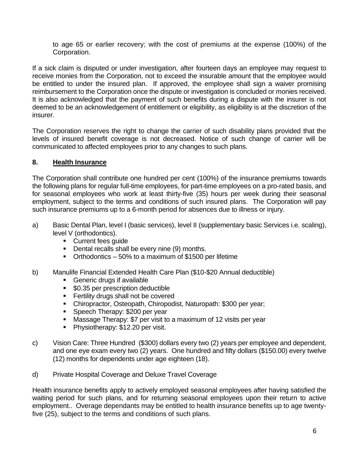to age 65 or earlier recovery; with the cost of premiums at the expense (100%) of the Corporation.

If a sick claim is disputed or under investigation, after fourteen days an employee may request to receive monies from the Corporation, not to exceed the insurable amount that the employee would be entitled to under the insured plan. If approved, the employee shall sign a waiver promising reimbursement to the Corporation once the dispute or investigation is concluded or monies received. It is also acknowledged that the payment of such benefits during a dispute with the insurer is not deemed to be an acknowledgement of entitlement or eligibility, as eligibility is at the discretion of the insurer.

The Corporation reserves the right to change the carrier of such disability plans provided that the levels of insured benefit coverage is not decreased. Notice of such change of carrier will be communicated to affected employees prior to any changes to such plans.

## **8. Health Insurance**

The Corporation shall contribute one hundred per cent (100%) of the insurance premiums towards the following plans for regular full-time employees, for part-time employees on a pro-rated basis, and for seasonal employees who work at least thirty-five (35) hours per week during their seasonal employment, subject to the terms and conditions of such insured plans. The Corporation will pay such insurance premiums up to a 6-month period for absences due to illness or injury.

- a) Basic Dental Plan, level I (basic services), level II (supplementary basic Services i.e. scaling), level V (orthodontics).
	- Current fees guide
	- Dental recalls shall be every nine (9) months.
	- Orthodontics 50% to a maximum of \$1500 per lifetime
- b) Manulife Financial Extended Health Care Plan (\$10-\$20 Annual deductible)
	- Generic drugs if available
	- \$0.35 per prescription deductible
	- **EXECTED FERTILITY DRUGS Shall not be covered**
	- Chiropractor, Osteopath, Chiropodist, Naturopath: \$300 per year;
	- Speech Therapy: \$200 per year
	- Massage Therapy: \$7 per visit to a maximum of 12 visits per year
	- Physiotherapy: \$12.20 per visit.
- c) Vision Care: Three Hundred (\$300) dollars every two (2) years per employee and dependent, and one eye exam every two (2) years. One hundred and fifty dollars (\$150.00) every twelve (12) months for dependents under age eighteen (18).
- d) Private Hospital Coverage and Deluxe Travel Coverage

Health insurance benefits apply to actively employed seasonal employees after having satisfied the waiting period for such plans, and for returning seasonal employees upon their return to active employment.. Overage dependants may be entitled to health insurance benefits up to age twentyfive (25), subject to the terms and conditions of such plans.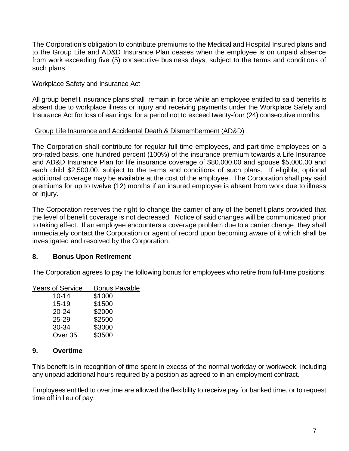The Corporation's obligation to contribute premiums to the Medical and Hospital Insured plans and to the Group Life and AD&D Insurance Plan ceases when the employee is on unpaid absence from work exceeding five (5) consecutive business days, subject to the terms and conditions of such plans.

## Workplace Safety and Insurance Act

All group benefit insurance plans shall remain in force while an employee entitled to said benefits is absent due to workplace illness or injury and receiving payments under the Workplace Safety and Insurance Act for loss of earnings, for a period not to exceed twenty-four (24) consecutive months.

## Group Life Insurance and Accidental Death & Dismemberment (AD&D)

The Corporation shall contribute for regular full-time employees, and part-time employees on a pro-rated basis, one hundred percent (100%) of the insurance premium towards a Life Insurance and AD&D Insurance Plan for life insurance coverage of \$80,000.00 and spouse \$5,000.00 and each child \$2,500.00, subject to the terms and conditions of such plans. If eligible, optional additional coverage may be available at the cost of the employee. The Corporation shall pay said premiums for up to twelve (12) months if an insured employee is absent from work due to illness or injury.

The Corporation reserves the right to change the carrier of any of the benefit plans provided that the level of benefit coverage is not decreased. Notice of said changes will be communicated prior to taking effect. If an employee encounters a coverage problem due to a carrier change, they shall immediately contact the Corporation or agent of record upon becoming aware of it which shall be investigated and resolved by the Corporation.

## **8. Bonus Upon Retirement**

The Corporation agrees to pay the following bonus for employees who retire from full-time positions:

| <b>Years of Service</b> | <b>Bonus Payable</b> |
|-------------------------|----------------------|
| $10 - 14$               | \$1000               |
| $15 - 19$               | \$1500               |
| $20 - 24$               | \$2000               |
| $25 - 29$               | \$2500               |
| 30-34                   | \$3000               |
| Over <sub>35</sub>      | \$3500               |

## **9. Overtime**

This benefit is in recognition of time spent in excess of the normal workday or workweek, including any unpaid additional hours required by a position as agreed to in an employment contract.

Employees entitled to overtime are allowed the flexibility to receive pay for banked time, or to request time off in lieu of pay.